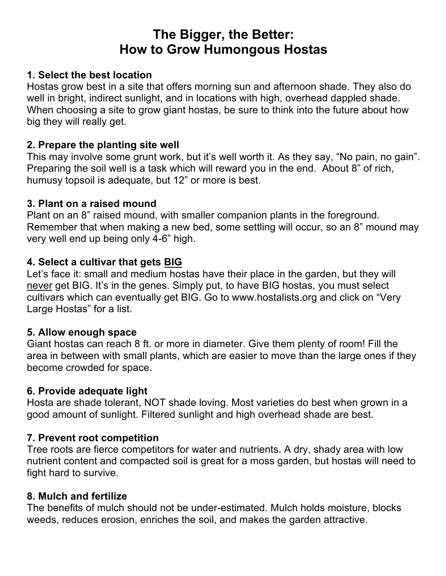# **The Bigger, the Better: How to Grow Humongous Hostas**

# **1. Select the best location**

Hostas grow best in a site that offers morning sun and afternoon shade. They also do well in bright, indirect sunlight, and in locations with high, overhead dappled shade. When choosing a site to grow giant hostas, be sure to think into the future about how big they will really get.

# **2. Prepare the planting site well**

This may involve some grunt work, but it's well worth it. As they say, "No pain, no gain". Preparing the soil well is a task which will reward you in the end. About 8" of rich, humusy topsoil is adequate, but 12" or more is best.

# **3. Plant on a raised mound**

Plant on an 8" raised mound, with smaller companion plants in the foreground. Remember that when making a new bed, some settling will occur, so an 8" mound may very well end up being only 4-6" high.

# **4. Select a cultivar that gets BIG**

Let's face it: small and medium hostas have their place in the garden, but they will never get BIG. It's in the genes. Simply put, to have BIG hostas, you must select cultivars which can eventually get BIG. Go to www.hostalists.org and click on "Very Large Hostas" for a list.

# **5. Allow enough space**

Giant hostas can reach 8 ft. or more in diameter. Give them plenty of room! Fill the area in between with small plants, which are easier to move than the large ones if they become crowded for space.

#### **6. Provide adequate light**

Hosta are shade tolerant, NOT shade loving. Most varieties do best when grown in a good amount of sunlight. Filtered sunlight and high overhead shade are best.

# **7. Prevent root competition**

Tree roots are fierce competitors for water and nutrients. A dry, shady area with low nutrient content and compacted soil is great for a moss garden, but hostas will need to fight hard to survive.

#### **8. Mulch and fertilize**

The benefits of mulch should not be under-estimated. Mulch holds moisture, blocks weeds, reduces erosion, enriches the soil, and makes the garden attractive.